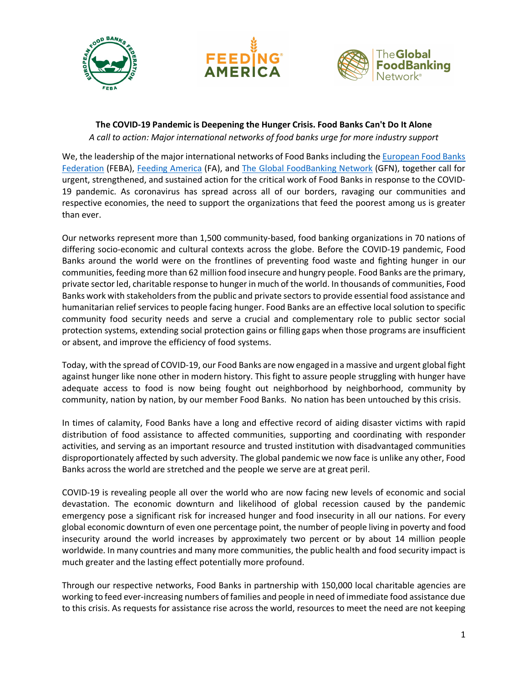





## **The COVID-19 Pandemic is Deepening the Hunger Crisis. Food Banks Can't Do It Alone** *A call to action: Major international networks of food banks urge for more industry support*

We, the leadership of the major international networks of Food Banks including the European Food Banks [Federation](http://www.eurofoodbank.eu/) (FEBA), [Feeding America](https://www.feedingamerica.org/) (FA), and [The Global FoodBanking Network](https://www.foodbanking.org/) (GFN), together call for urgent, strengthened, and sustained action for the critical work of Food Banks in response to the COVID-19 pandemic. As coronavirus has spread across all of our borders, ravaging our communities and respective economies, the need to support the organizations that feed the poorest among us is greater than ever.

Our networks represent more than 1,500 community-based, food banking organizations in 70 nations of differing socio-economic and cultural contexts across the globe. Before the COVID-19 pandemic, Food Banks around the world were on the frontlines of preventing food waste and fighting hunger in our communities, feeding more than 62 million food insecure and hungry people. Food Banks are the primary, private sector led, charitable response to hunger in much of the world. In thousands of communities, Food Banks work with stakeholders from the public and private sectors to provide essential food assistance and humanitarian relief services to people facing hunger. Food Banks are an effective local solution to specific community food security needs and serve a crucial and complementary role to public sector social protection systems, extending social protection gains or filling gaps when those programs are insufficient or absent, and improve the efficiency of food systems.

Today, with the spread of COVID-19, our Food Banks are now engaged in a massive and urgent global fight against hunger like none other in modern history. This fight to assure people struggling with hunger have adequate access to food is now being fought out neighborhood by neighborhood, community by community, nation by nation, by our member Food Banks. No nation has been untouched by this crisis.

In times of calamity, Food Banks have a long and effective record of aiding disaster victims with rapid distribution of food assistance to affected communities, supporting and coordinating with responder activities, and serving as an important resource and trusted institution with disadvantaged communities disproportionately affected by such adversity. The global pandemic we now face is unlike any other, Food Banks across the world are stretched and the people we serve are at great peril.

COVID-19 is revealing people all over the world who are now facing new levels of economic and social devastation. The economic downturn and likelihood of global recession caused by the pandemic emergency pose a significant risk for increased hunger and food insecurity in all our nations. For every global economic downturn of even one percentage point, the number of people living in poverty and food insecurity around the world increases by approximately two percent or by about 14 million people worldwide. In many countries and many more communities, the public health and food security impact is much greater and the lasting effect potentially more profound.

Through our respective networks, Food Banks in partnership with 150,000 local charitable agencies are working to feed ever-increasing numbers of families and people in need of immediate food assistance due to this crisis. As requests for assistance rise across the world, resources to meet the need are not keeping